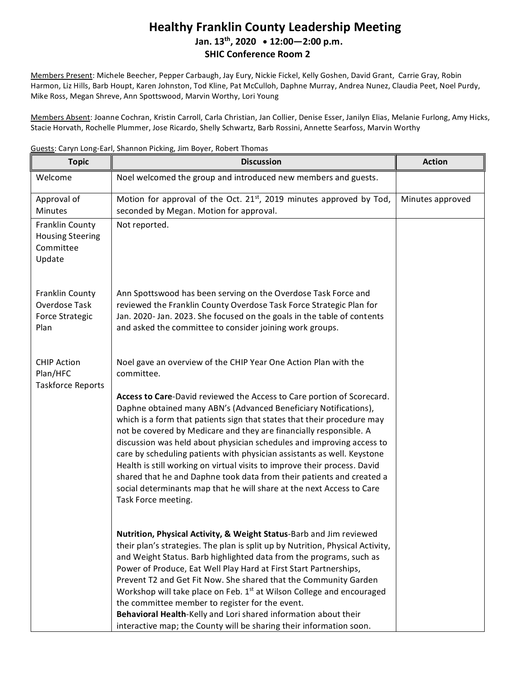## **Healthy Franklin County Leadership Meeting Jan. 13th , 2020 12:00—2:00 p.m. SHIC Conference Room 2**

Members Present: Michele Beecher, Pepper Carbaugh, Jay Eury, Nickie Fickel, Kelly Goshen, David Grant, Carrie Gray, Robin Harmon, Liz Hills, Barb Houpt, Karen Johnston, Tod Kline, Pat McCulloh, Daphne Murray, Andrea Nunez, Claudia Peet, Noel Purdy, Mike Ross, Megan Shreve, Ann Spottswood, Marvin Worthy, Lori Young

Members Absent: Joanne Cochran, Kristin Carroll, Carla Christian, Jan Collier, Denise Esser, Janilyn Elias, Melanie Furlong, Amy Hicks, Stacie Horvath, Rochelle Plummer, Jose Ricardo, Shelly Schwartz, Barb Rossini, Annette Searfoss, Marvin Worthy

Guests: Caryn Long-Earl, Shannon Picking, Jim Boyer, Robert Thomas

| <b>Topic</b>                                                       | <b>Discussion</b>                                                                                                                                                                                                                                                                                                                                                                                                                                                                                                                                                                                                                                                                                     | <b>Action</b>    |
|--------------------------------------------------------------------|-------------------------------------------------------------------------------------------------------------------------------------------------------------------------------------------------------------------------------------------------------------------------------------------------------------------------------------------------------------------------------------------------------------------------------------------------------------------------------------------------------------------------------------------------------------------------------------------------------------------------------------------------------------------------------------------------------|------------------|
| Welcome                                                            | Noel welcomed the group and introduced new members and guests.                                                                                                                                                                                                                                                                                                                                                                                                                                                                                                                                                                                                                                        |                  |
| Approval of<br>Minutes                                             | Motion for approval of the Oct. 21 <sup>st</sup> , 2019 minutes approved by Tod,<br>seconded by Megan. Motion for approval.                                                                                                                                                                                                                                                                                                                                                                                                                                                                                                                                                                           | Minutes approved |
| Franklin County<br><b>Housing Steering</b><br>Committee<br>Update  | Not reported.                                                                                                                                                                                                                                                                                                                                                                                                                                                                                                                                                                                                                                                                                         |                  |
| Franklin County<br>Overdose Task<br><b>Force Strategic</b><br>Plan | Ann Spottswood has been serving on the Overdose Task Force and<br>reviewed the Franklin County Overdose Task Force Strategic Plan for<br>Jan. 2020- Jan. 2023. She focused on the goals in the table of contents<br>and asked the committee to consider joining work groups.                                                                                                                                                                                                                                                                                                                                                                                                                          |                  |
| <b>CHIP Action</b><br>Plan/HFC<br><b>Taskforce Reports</b>         | Noel gave an overview of the CHIP Year One Action Plan with the<br>committee.                                                                                                                                                                                                                                                                                                                                                                                                                                                                                                                                                                                                                         |                  |
|                                                                    | Access to Care-David reviewed the Access to Care portion of Scorecard.<br>Daphne obtained many ABN's (Advanced Beneficiary Notifications),<br>which is a form that patients sign that states that their procedure may<br>not be covered by Medicare and they are financially responsible. A<br>discussion was held about physician schedules and improving access to<br>care by scheduling patients with physician assistants as well. Keystone<br>Health is still working on virtual visits to improve their process. David<br>shared that he and Daphne took data from their patients and created a<br>social determinants map that he will share at the next Access to Care<br>Task Force meeting. |                  |
|                                                                    | Nutrition, Physical Activity, & Weight Status-Barb and Jim reviewed<br>their plan's strategies. The plan is split up by Nutrition, Physical Activity,<br>and Weight Status. Barb highlighted data from the programs, such as<br>Power of Produce, Eat Well Play Hard at First Start Partnerships,                                                                                                                                                                                                                                                                                                                                                                                                     |                  |
|                                                                    | Prevent T2 and Get Fit Now. She shared that the Community Garden<br>Workshop will take place on Feb. 1st at Wilson College and encouraged<br>the committee member to register for the event.                                                                                                                                                                                                                                                                                                                                                                                                                                                                                                          |                  |
|                                                                    | Behavioral Health-Kelly and Lori shared information about their<br>interactive map; the County will be sharing their information soon.                                                                                                                                                                                                                                                                                                                                                                                                                                                                                                                                                                |                  |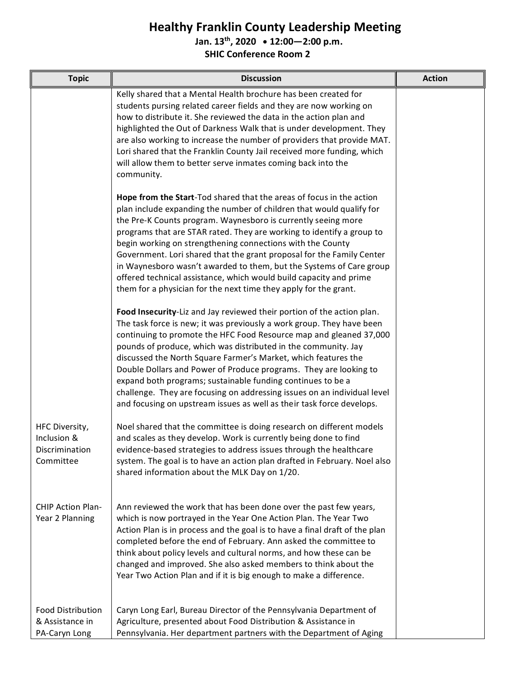## **Healthy Franklin County Leadership Meeting**

**Jan. 13th , 2020 12:00—2:00 p.m.**

**SHIC Conference Room 2**

| <b>Topic</b>                                                 | <b>Discussion</b>                                                                                                                                                                                                                                                                                                                                                                                                                                                                                                                                                                                                                                  | <b>Action</b> |
|--------------------------------------------------------------|----------------------------------------------------------------------------------------------------------------------------------------------------------------------------------------------------------------------------------------------------------------------------------------------------------------------------------------------------------------------------------------------------------------------------------------------------------------------------------------------------------------------------------------------------------------------------------------------------------------------------------------------------|---------------|
|                                                              | Kelly shared that a Mental Health brochure has been created for<br>students pursing related career fields and they are now working on<br>how to distribute it. She reviewed the data in the action plan and<br>highlighted the Out of Darkness Walk that is under development. They<br>are also working to increase the number of providers that provide MAT.<br>Lori shared that the Franklin County Jail received more funding, which<br>will allow them to better serve inmates coming back into the<br>community.                                                                                                                              |               |
|                                                              | Hope from the Start-Tod shared that the areas of focus in the action<br>plan include expanding the number of children that would qualify for<br>the Pre-K Counts program. Waynesboro is currently seeing more<br>programs that are STAR rated. They are working to identify a group to<br>begin working on strengthening connections with the County<br>Government. Lori shared that the grant proposal for the Family Center<br>in Waynesboro wasn't awarded to them, but the Systems of Care group<br>offered technical assistance, which would build capacity and prime<br>them for a physician for the next time they apply for the grant.     |               |
|                                                              | Food Insecurity-Liz and Jay reviewed their portion of the action plan.<br>The task force is new; it was previously a work group. They have been<br>continuing to promote the HFC Food Resource map and gleaned 37,000<br>pounds of produce, which was distributed in the community. Jay<br>discussed the North Square Farmer's Market, which features the<br>Double Dollars and Power of Produce programs. They are looking to<br>expand both programs; sustainable funding continues to be a<br>challenge. They are focusing on addressing issues on an individual level<br>and focusing on upstream issues as well as their task force develops. |               |
| HFC Diversity,<br>Inclusion &<br>Discrimination<br>Committee | Noel shared that the committee is doing research on different models<br>and scales as they develop. Work is currently being done to find<br>evidence-based strategies to address issues through the healthcare<br>system. The goal is to have an action plan drafted in February. Noel also<br>shared information about the MLK Day on 1/20.                                                                                                                                                                                                                                                                                                       |               |
| CHIP Action Plan-<br>Year 2 Planning                         | Ann reviewed the work that has been done over the past few years,<br>which is now portrayed in the Year One Action Plan. The Year Two<br>Action Plan is in process and the goal is to have a final draft of the plan<br>completed before the end of February. Ann asked the committee to<br>think about policy levels and cultural norms, and how these can be<br>changed and improved. She also asked members to think about the<br>Year Two Action Plan and if it is big enough to make a difference.                                                                                                                                            |               |
| <b>Food Distribution</b><br>& Assistance in<br>PA-Caryn Long | Caryn Long Earl, Bureau Director of the Pennsylvania Department of<br>Agriculture, presented about Food Distribution & Assistance in<br>Pennsylvania. Her department partners with the Department of Aging                                                                                                                                                                                                                                                                                                                                                                                                                                         |               |